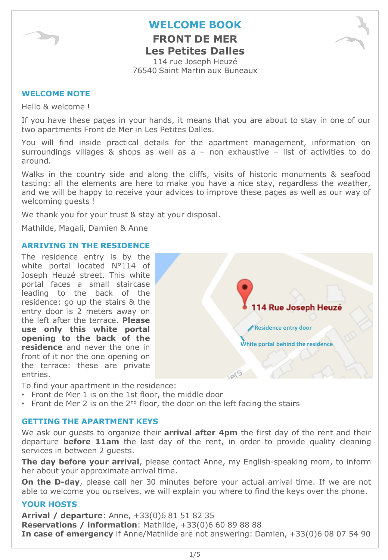

**FRONT DE MER Les Petites Dalles**

114 rue Joseph Heuzé 76540 Saint Martin aux Buneaux

#### **WELCOME NOTE**

Hello & welcome !

If you have these pages in your hands, it means that you are about to stay in one of our two apartments Front de Mer in Les Petites Dalles.

You will find inside practical details for the apartment management, information on surroundings villages  $\&$  shops as well as  $a -$  non exhaustive  $-$  list of activities to do around.

Walks in the country side and along the cliffs, visits of historic monuments & seafood tasting: all the elements are here to make you have a nice stay, regardless the weather, and we will be happy to receive your advices to improve these pages as well as our way of welcoming guests !

We thank you for your trust & stay at your disposal.

Mathilde, Magali, Damien & Anne

#### **ARRIVING IN THE RESIDENCE**

The residence entry is by the white portal located N°114 of Joseph Heuzé street. This white portal faces a small staircase leading to the back of the residence: go up the stairs & the entry door is 2 meters away on the left after the terrace. **Please use only this white portal opening to the back of the residence** and never the one in front of it nor the one opening on the terrace: these are private entries.



To find your apartment in the residence:

- Front de Mer 1 is on the 1st floor, the middle door
- Front de Mer 2 is on the  $2<sup>nd</sup>$  floor, the door on the left facing the stairs

#### **GETTING THE APARTMENT KEYS**

We ask our guests to organize their **arrival after 4pm** the first day of the rent and their departure **before 11am** the last day of the rent, in order to provide quality cleaning services in between 2 guests.

**The day before your arrival**, please contact Anne, my English-speaking mom, to inform her about your approximate arrival time.

**On the D-day**, please call her 30 minutes before your actual arrival time. If we are not able to welcome you ourselves, we will explain you where to find the keys over the phone.

#### **YOUR HOSTS**

**Arrival / departure**: Anne, +33(0)6 81 51 82 35 **Reservations / information**: Mathilde, +33(0)6 60 89 88 88 **In case of emergency** if Anne/Mathilde are not answering: Damien, +33(0)6 08 07 54 90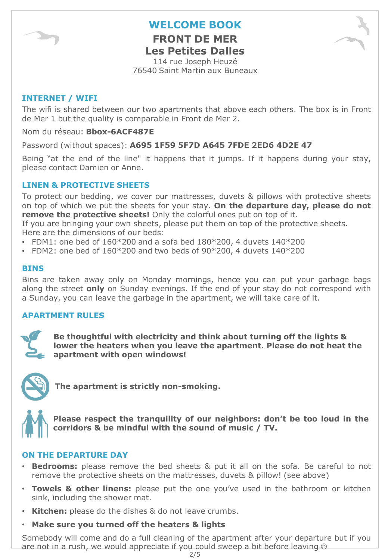**FRONT DE MER Les Petites Dalles**

114 rue Joseph Heuzé 76540 Saint Martin aux Buneaux

#### **INTERNET / WIFI**

The wifi is shared between our two apartments that above each others. The box is in Front de Mer 1 but the quality is comparable in Front de Mer 2.

Nom du réseau: **Bbox-6ACF487E**

Password (without spaces): **A695 1F59 5F7D A645 7FDE 2ED6 4D2E 47**

Being "at the end of the line" it happens that it jumps. If it happens during your stay, please contact Damien or Anne.

#### **LINEN & PROTECTIVE SHEETS**

To protect our bedding, we cover our mattresses, duvets & pillows with protective sheets on top of which we put the sheets for your stay. **On the departure day, please do not remove the protective sheets!** Only the colorful ones put on top of it.

If you are bringing your own sheets, please put them on top of the protective sheets. Here are the dimensions of our beds:

- FDM1: one bed of  $160*200$  and a sofa bed  $180*200$ , 4 duvets  $140*200$
- FDM2: one bed of  $160*200$  and two beds of  $90*200$ , 4 duvets  $140*200$

#### **BINS**

Bins are taken away only on Monday mornings, hence you can put your garbage bags along the street **only** on Sunday evenings. If the end of your stay do not correspond with a Sunday, you can leave the garbage in the apartment, we will take care of it.

#### **APARTMENT RULES**



**Be thoughtful with electricity and think about turning off the lights & lower the heaters when you leave the apartment. Please do not heat the apartment with open windows!** 



**The apartment is strictly non-smoking.**



**Please respect the tranquility of our neighbors: don't be too loud in the corridors & be mindful with the sound of music / TV.**

#### **ON THE DEPARTURE DAY**

- **Bedrooms:** please remove the bed sheets & put it all on the sofa. Be careful to not remove the protective sheets on the mattresses, duvets & pillow! (see above)
- **Towels & other linens:** please put the one you've used in the bathroom or kitchen sink, including the shower mat.
- **Kitchen:** please do the dishes & do not leave crumbs.
- **Make sure you turned off the heaters & lights**

Somebody will come and do a full cleaning of the apartment after your departure but if you are not in a rush, we would appreciate if you could sweep a bit before leaving  $\odot$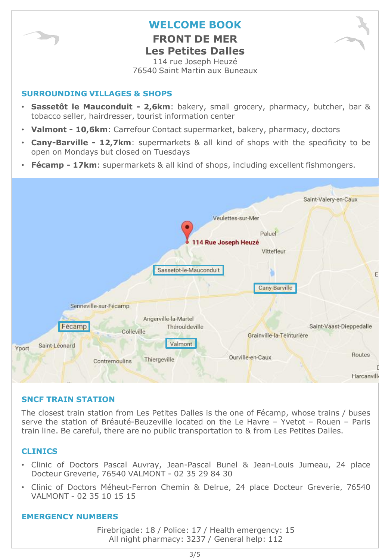

**FRONT DE MER Les Petites Dalles**

114 rue Joseph Heuzé 76540 Saint Martin aux Buneaux

#### **SURROUNDING VILLAGES & SHOPS**

- **Sassetôt le Mauconduit - 2,6km**: bakery, small grocery, pharmacy, butcher, bar & tobacco seller, hairdresser, tourist information center
- **Valmont - 10,6km**: Carrefour Contact supermarket, bakery, pharmacy, doctors
- **Cany-Barville - 12,7km**: supermarkets & all kind of shops with the specificity to be open on Mondays but closed on Tuesdays
- **Fécamp - 17km**: supermarkets & all kind of shops, including excellent fishmongers.



#### **SNCF TRAIN STATION**

The closest train station from Les Petites Dalles is the one of Fécamp, whose trains / buses serve the station of Bréauté-Beuzeville located on the Le Havre – Yvetot – Rouen – Paris train line. Be careful, there are no public transportation to & from Les Petites Dalles.

#### **CLINICS**

- Clinic of Doctors Pascal Auvray, Jean-Pascal Bunel & Jean-Louis Jumeau, 24 place Docteur Greverie, 76540 VALMONT - 02 35 29 84 30
- Clinic of Doctors Méheut-Ferron Chemin & Delrue, 24 place Docteur Greverie, 76540 VALMONT - 02 35 10 15 15

#### **EMERGENCY NUMBERS**

Firebrigade: 18 / Police: 17 / Health emergency: 15 All night pharmacy: 3237 / General help: 112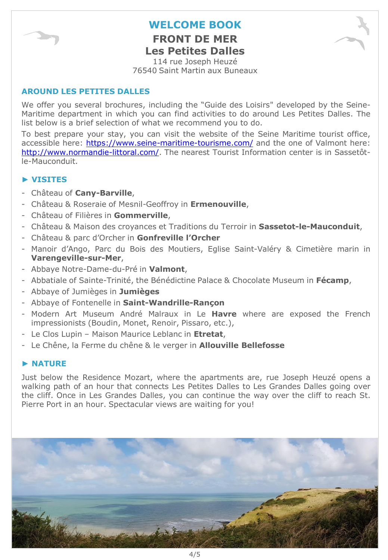

**FRONT DE MER Les Petites Dalles**

114 rue Joseph Heuzé 76540 Saint Martin aux Buneaux

#### **AROUND LES PETITES DALLES**

We offer you several brochures, including the "Guide des Loisirs" developed by the Seine-Maritime department in which you can find activities to do around Les Petites Dalles. The list below is a brief selection of what we recommend you to do.

To best prepare your stay, you can visit the website of the Seine Maritime tourist office, accessible here: <https://www.seine-maritime-tourisme.com/> and the one of Valmont here: <http://www.normandie-littoral.com/>. The nearest Tourist Information center is in Sassetôtle-Mauconduit.

#### **► VISITES**

- Château of **Cany-Barville**,
- Château & Roseraie of Mesnil-Geoffroy in **Ermenouville**,
- Château of Filières in **Gommerville**,
- Château & Maison des croyances et Traditions du Terroir in **Sassetot-le-Mauconduit**,
- Château & parc d'Orcher in **Gonfreville l'Orcher**
- Manoir d'Ango, Parc du Bois des Moutiers, Eglise Saint-Valéry & Cimetière marin in **Varengeville-sur-Mer**,
- Abbaye Notre-Dame-du-Pré in **Valmont**,
- Abbatiale of Sainte-Trinité, the Bénédictine Palace & Chocolate Museum in **Fécamp**,
- Abbaye of Jumièges in **Jumièges**
- Abbaye of Fontenelle in **Saint-Wandrille-Rançon**
- Modern Art Museum André Malraux in Le **Havre** where are exposed the French impressionists (Boudin, Monet, Renoir, Pissaro, etc.),
- Le Clos Lupin Maison Maurice Leblanc in **Etretat**,
- Le Chêne, la Ferme du chêne & le verger in **Allouville Bellefosse**

#### **► NATURE**

Just below the Residence Mozart, where the apartments are, rue Joseph Heuzé opens a walking path of an hour that connects Les Petites Dalles to Les Grandes Dalles going over the cliff. Once in Les Grandes Dalles, you can continue the way over the cliff to reach St. Pierre Port in an hour. Spectacular views are waiting for you!

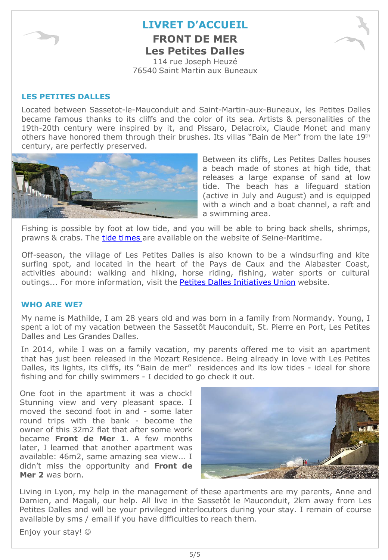

## **LIVRET D'ACCUEIL FRONT DE MER Les Petites Dalles**

114 rue Joseph Heuzé 76540 Saint Martin aux Buneaux

#### **LES PETITES DALLES**

Located between Sassetot-le-Mauconduit and Saint-Martin-aux-Buneaux, les Petites Dalles became famous thanks to its cliffs and the color of its sea. Artists & personalities of the 19th-20th century were inspired by it, and Pissaro, Delacroix, Claude Monet and many others have honored them through their brushes. Its villas "Bain de Mer" from the late 19th century, are perfectly preserved.



Between its cliffs, Les Petites Dalles houses a beach made of stones at high tide, that releases a large expanse of sand at low tide. The beach has a lifeguard station (active in July and August) and is equipped with a winch and a boat channel, a raft and a swimming area.

Fishing is possible by foot at low tide, and you will be able to bring back shells, shrimps, prawns & crabs. The tide [times](http://www.seine-maritime-tourisme.com/fr/je-prepare/les-marees.php) are available on the website of Seine-Maritime.

Off-season, the village of Les Petites Dalles is also known to be a windsurfing and kite surfing spot, and located in the heart of the Pays de Caux and the Alabaster Coast, activities abound: walking and hiking, horse riding, fishing, water sports or cultural outings... For more information, visit the Petites Dalles [Initiatives](http://www.petites-dalles-si.org/) Union website.

#### **WHO ARE WE?**

My name is Mathilde, I am 28 years old and was born in a family from Normandy. Young, I spent a lot of my vacation between the Sassetôt Mauconduit, St. Pierre en Port, Les Petites Dalles and Les Grandes Dalles.

In 2014, while I was on a family vacation, my parents offered me to visit an apartment that has just been released in the Mozart Residence. Being already in love with Les Petites Dalles, its lights, its cliffs, its "Bain de mer" residences and its low tides - ideal for shore fishing and for chilly swimmers - I decided to go check it out.

One foot in the apartment it was a chock! Stunning view and very pleasant space. I moved the second foot in and - some later round trips with the bank - become the owner of this 32m2 flat that after some work became **Front de Mer 1**. A few months later, I learned that another apartment was available: 46m2, same amazing sea view... I didn't miss the opportunity and **Front de Mer 2** was born.



Living in Lyon, my help in the management of these apartments are my parents, Anne and Damien, and Magali, our help. All live in the Sassetôt le Mauconduit, 2km away from Les Petites Dalles and will be your privileged interlocutors during your stay. I remain of course available by sms / email if you have difficulties to reach them.

Enjoy your stay!  $\circledcirc$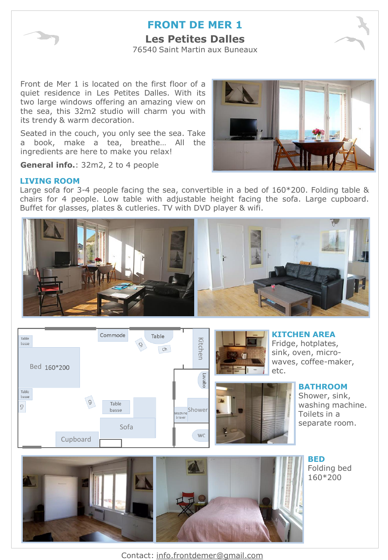

## **FRONT DE MER 1 Les Petites Dalles**

76540 Saint Martin aux Buneaux

Front de Mer 1 is located on the first floor of a quiet residence in Les Petites Dalles. With its two large windows offering an amazing view on the sea, this 32m2 studio will charm you with its trendy & warm decoration.

Seated in the couch, you only see the sea. Take a book, make a tea, breathe… All the ingredients are here to make you relax!



**General info.**: 32m2, 2 to 4 people

#### **LIVING ROOM**

Large sofa for 3-4 people facing the sea, convertible in a bed of 160\*200. Folding table & chairs for 4 people. Low table with adjustable height facing the sofa. Large cupboard. Buffet for glasses, plates & cutleries. TV with DVD player & wifi.







**BED** Folding bed 160\*200

Contact: info.frontdemer@gmail.com